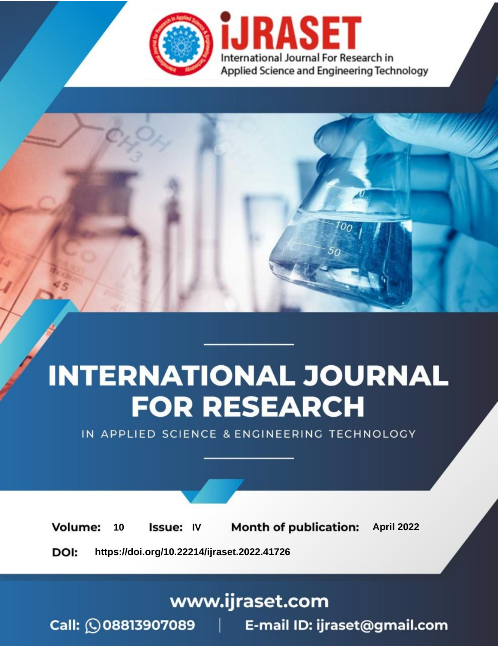

# **INTERNATIONAL JOURNAL FOR RESEARCH**

IN APPLIED SCIENCE & ENGINEERING TECHNOLOGY

10 **Issue: IV Month of publication:** April 2022 **Volume:** 

**https://doi.org/10.22214/ijraset.2022.41726**DOI:

www.ijraset.com

Call: 008813907089 | E-mail ID: ijraset@gmail.com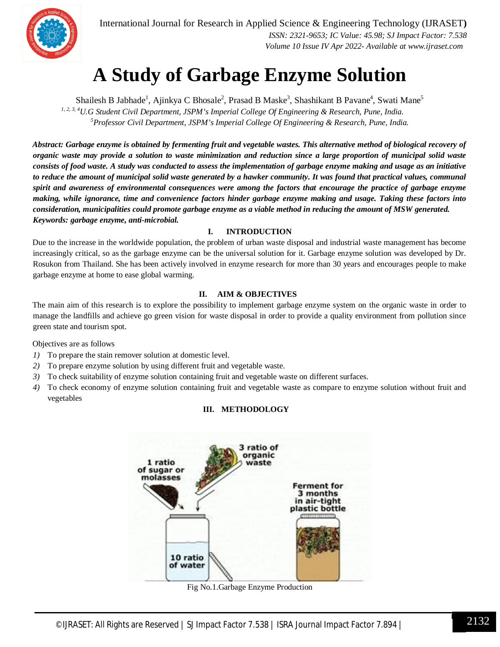

International Journal for Research in Applied Science & Engineering Technology (IJRASET**)**  *ISSN: 2321-9653; IC Value: 45.98; SJ Impact Factor: 7.538*

 *Volume 10 Issue IV Apr 2022- Available at www.ijraset.com*

### **A Study of Garbage Enzyme Solution**

Shailesh B Jabhade<sup>1</sup>, Ajinkya C Bhosale<sup>2</sup>, Prasad B Maske<sup>3</sup>, Shashikant B Pavane<sup>4</sup>, Swati Mane<sup>5</sup> *1, 2, 3, <sup>4</sup>U.G Student Civil Department, JSPM's Imperial College Of Engineering & Research, Pune, India. <sup>5</sup>Professor Civil Department, JSPM's Imperial College Of Engineering & Research, Pune, India.*

*Abstract: Garbage enzyme is obtained by fermenting fruit and vegetable wastes. This alternative method of biological recovery of organic waste may provide a solution to waste minimization and reduction since a large proportion of municipal solid waste consists of food waste. A study was conducted to assess the implementation of garbage enzyme making and usage as an initiative to reduce the amount of municipal solid waste generated by a hawker community. It was found that practical values, communal spirit and awareness of environmental consequences were among the factors that encourage the practice of garbage enzyme making, while ignorance, time and convenience factors hinder garbage enzyme making and usage. Taking these factors into consideration, municipalities could promote garbage enzyme as a viable method in reducing the amount of MSW generated.* *Keywords: garbage enzyme, anti-microbial.*

#### **I. INTRODUCTION**

Due to the increase in the worldwide population, the problem of urban waste disposal and industrial waste management has become increasingly critical, so as the garbage enzyme can be the universal solution for it. Garbage enzyme solution was developed by Dr. Rosukon from Thailand. She has been actively involved in enzyme research for more than 30 years and encourages people to make garbage enzyme at home to ease global warming.

#### **II. AIM & OBJECTIVES**

The main aim of this research is to explore the possibility to implement garbage enzyme system on the organic waste in order to manage the landfills and achieve go green vision for waste disposal in order to provide a quality environment from pollution since green state and tourism spot.

Objectives are as follows

- *1)* To prepare the stain remover solution at domestic level.
- *2)* To prepare enzyme solution by using different fruit and vegetable waste.
- *3)* To check suitability of enzyme solution containing fruit and vegetable waste on different surfaces.
- *4)* To check economy of enzyme solution containing fruit and vegetable waste as compare to enzyme solution without fruit and vegetables

#### **III. METHODOLOGY**



Fig No.1.Garbage Enzyme Production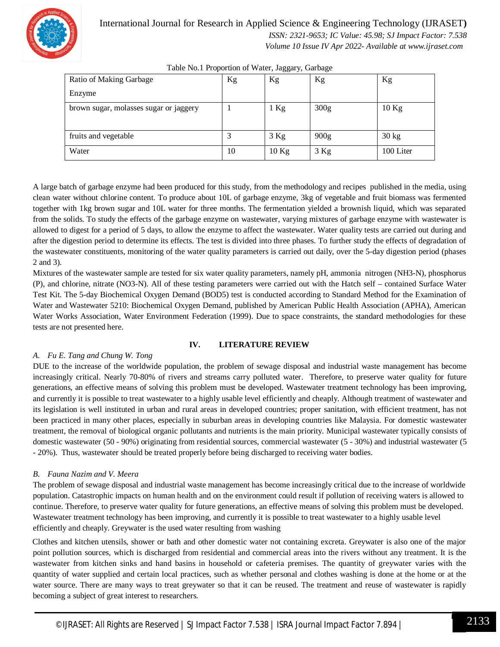

#### International Journal for Research in Applied Science & Engineering Technology (IJRASET**)**  *ISSN: 2321-9653; IC Value: 45.98; SJ Impact Factor: 7.538*

 *Volume 10 Issue IV Apr 2022- Available at www.ijraset.com*

| Ratio of Making Garbage                | Kg | Kg      | Kg               | Kg              |
|----------------------------------------|----|---------|------------------|-----------------|
| Enzyme                                 |    |         |                  |                 |
| brown sugar, molasses sugar or jaggery |    | $1$ Kg  | 300 <sub>g</sub> | $10$ Kg         |
|                                        |    |         |                  |                 |
| fruits and vegetable                   |    | $3$ Kg  | 900 <sub>g</sub> | $30 \text{ kg}$ |
| Water                                  | 10 | $10$ Kg | $3$ Kg           | 100 Liter       |

Table No.1 Proportion of Water, Jaggary, Garbage

A large batch of garbage enzyme had been produced for this study, from the methodology and recipes published in the media, using clean water without chlorine content. To produce about 10L of garbage enzyme, 3kg of vegetable and fruit biomass was fermented together with 1kg brown sugar and 10L water for three months. The fermentation yielded a brownish liquid, which was separated from the solids. To study the effects of the garbage enzyme on wastewater, varying mixtures of garbage enzyme with wastewater is allowed to digest for a period of 5 days, to allow the enzyme to affect the wastewater. Water quality tests are carried out during and after the digestion period to determine its effects. The test is divided into three phases. To further study the effects of degradation of the wastewater constituents, monitoring of the water quality parameters is carried out daily, over the 5-day digestion period (phases 2 and 3).

Mixtures of the wastewater sample are tested for six water quality parameters, namely pH, ammonia nitrogen (NH3-N), phosphorus (P), and chlorine, nitrate (NO3-N). All of these testing parameters were carried out with the Hatch self – contained Surface Water Test Kit. The 5-day Biochemical Oxygen Demand (BOD5) test is conducted according to Standard Method for the Examination of Water and Wastewater 5210: Biochemical Oxygen Demand, published by American Public Health Association (APHA), American Water Works Association, Water Environment Federation (1999). Due to space constraints, the standard methodologies for these tests are not presented here.

#### **IV. LITERATURE REVIEW**

#### *A. Fu E. Tang and Chung W. Tong*

DUE to the increase of the worldwide population, the problem of sewage disposal and industrial waste management has become increasingly critical. Nearly 70-80% of rivers and streams carry polluted water. Therefore, to preserve water quality for future generations, an effective means of solving this problem must be developed. Wastewater treatment technology has been improving, and currently it is possible to treat wastewater to a highly usable level efficiently and cheaply. Although treatment of wastewater and its legislation is well instituted in urban and rural areas in developed countries; proper sanitation, with efficient treatment, has not been practiced in many other places, especially in suburban areas in developing countries like Malaysia. For domestic wastewater treatment, the removal of biological organic pollutants and nutrients is the main priority. Municipal wastewater typically consists of domestic wastewater (50 - 90%) originating from residential sources, commercial wastewater (5 - 30%) and industrial wastewater (5 - 20%). Thus, wastewater should be treated properly before being discharged to receiving water bodies.

#### *B. Fauna Nazim and V. Meera*

The problem of sewage disposal and industrial waste management has become increasingly critical due to the increase of worldwide population. Catastrophic impacts on human health and on the environment could result if pollution of receiving waters is allowed to continue. Therefore, to preserve water quality for future generations, an effective means of solving this problem must be developed. Wastewater treatment technology has been improving, and currently it is possible to treat wastewater to a highly usable level efficiently and cheaply. Greywater is the used water resulting from washing

Clothes and kitchen utensils, shower or bath and other domestic water not containing excreta. Greywater is also one of the major point pollution sources, which is discharged from residential and commercial areas into the rivers without any treatment. It is the wastewater from kitchen sinks and hand basins in household or cafeteria premises. The quantity of greywater varies with the quantity of water supplied and certain local practices, such as whether personal and clothes washing is done at the home or at the water source. There are many ways to treat greywater so that it can be reused. The treatment and reuse of wastewater is rapidly becoming a subject of great interest to researchers.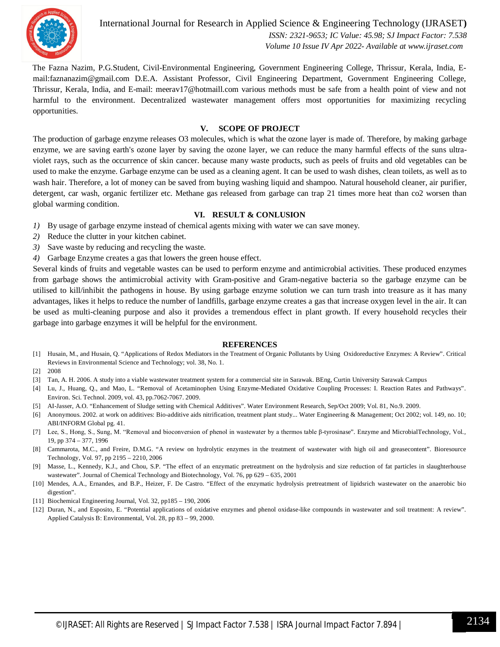

International Journal for Research in Applied Science & Engineering Technology (IJRASET**)**  *ISSN: 2321-9653; IC Value: 45.98; SJ Impact Factor: 7.538 Volume 10 Issue IV Apr 2022- Available at www.ijraset.com*

The Fazna Nazim, P.G.Student, Civil-Environmental Engineering, Government Engineering College, Thrissur, Kerala, India, Email:faznanazim@gmail.com D.E.A. Assistant Professor, Civil Engineering Department, Government Engineering College, Thrissur, Kerala, India, and E-mail: meerav17@hotmaill.com various methods must be safe from a health point of view and not harmful to the environment. Decentralized wastewater management offers most opportunities for maximizing recycling opportunities.

#### **V. SCOPE OF PROJECT**

The production of garbage enzyme releases O3 molecules, which is what the ozone layer is made of. Therefore, by making garbage enzyme, we are saving earth's ozone layer by saving the ozone layer, we can reduce the many harmful effects of the suns ultraviolet rays, such as the occurrence of skin cancer. because many waste products, such as peels of fruits and old vegetables can be used to make the enzyme. Garbage enzyme can be used as a cleaning agent. It can be used to wash dishes, clean toilets, as well as to wash hair. Therefore, a lot of money can be saved from buying washing liquid and shampoo. Natural household cleaner, air purifier, detergent, car wash, organic fertilizer etc. Methane gas released from garbage can trap 21 times more heat than co2 worsen than global warming condition.

#### **VI. RESULT & CONLUSION**

- *1)* By usage of garbage enzyme instead of chemical agents mixing with water we can save money.
- *2)* Reduce the clutter in your kitchen cabinet.
- *3)* Save waste by reducing and recycling the waste.
- *4)* Garbage Enzyme creates a gas that lowers the green house effect.

Several kinds of fruits and vegetable wastes can be used to perform enzyme and antimicrobial activities. These produced enzymes from garbage shows the antimicrobial activity with Gram-positive and Gram-negative bacteria so the garbage enzyme can be utilised to kill/inhibit the pathogens in house. By using garbage enzyme solution we can turn trash into treasure as it has many advantages, likes it helps to reduce the number of landfills, garbage enzyme creates a gas that increase oxygen level in the air. It can be used as multi-cleaning purpose and also it provides a tremendous effect in plant growth. If every household recycles their garbage into garbage enzymes it will be helpful for the environment.

#### **REFERENCES**

- [1] Husain, M., and Husain, Q. "Applications of Redox Mediators in the Treatment of Organic Pollutants by Using Oxidoreductive Enzymes: A Review". Critical Reviews in Environmental Science and Technology; vol. 38, No. 1.
- [2] 2008
- [3] Tan, A. H. 2006. A study into a viable wastewater treatment system for a commercial site in Sarawak. BEng, Curtin University Sarawak Campus
- [4] Lu, J., Huang, Q., and Mao, L. "Removal of Acetaminophen Using Enzyme-Mediated Oxidative Coupling Processes: I. Reaction Rates and Pathways". Environ. Sci. Technol. 2009, vol. 43, pp.7062-7067. 2009.
- [5] AI-Jasser, A.O. "Enhancement of Sludge setting with Chemical Additives". Water Environment Research, Sep/Oct 2009; Vol. 81, No.9. 2009.
- [6] Anonymous. 2002. at work on additives: Bio-additive aids nitrification, treatment plant study... Water Engineering & Management; Oct 2002; vol. 149, no. 10; ABI/INFORM Global pg. 41.
- [7] Lee, S., Hong, S., Sung, M. "Removal and bioconversion of phenol in wastewater by a thermos table β-tyrosinase". Enzyme and MicrobialTechnology, Vol., 19, pp 374 – 377, 1996
- [8] Cammarota, M.C., and Freire, D.M.G. "A review on hydrolytic enzymes in the treatment of wastewater with high oil and greasecontent". Bioresource Technology, Vol. 97, pp 2195 – 2210, 2006
- [9] Masse, L., Kennedy, K.J., and Chou, S.P. "The effect of an enzymatic pretreatment on the hydrolysis and size reduction of fat particles in slaughterhouse wastewater". Journal of Chemical Technology and Biotechnology, Vol. 76, pp 629 – 635, 2001
- [10] Mendes, A.A., Ernandes, and B.P., Heizer, F. De Castro. "Effect of the enzymatic hydrolysis pretreatment of lipidsrich wastewater on the anaerobic bio digestion".
- [11] Biochemical Engineering Journal, Vol. 32, pp185 190, 2006
- [12] Duran, N., and Esposito, E. "Potential applications of oxidative enzymes and phenol oxidase-like compounds in wastewater and soil treatment: A review". Applied Catalysis B: Environmental, Vol. 28, pp 83 – 99, 2000.